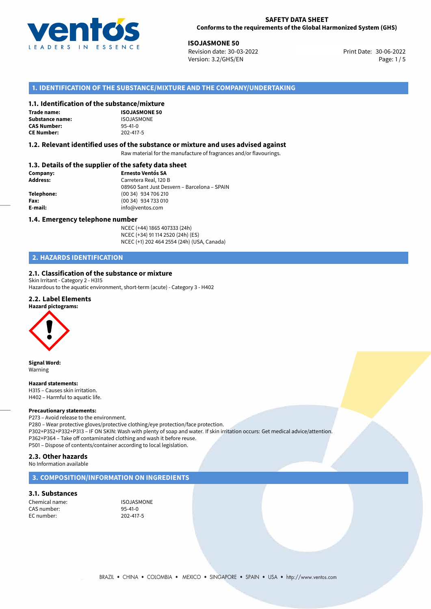

**ISOJASMONE 50<br>130-06-2022 Revision date: 30-03-2022** Print Date: 30-06-2022 Version: 3.2/GHS/EN Page: 1/5

# **1. IDENTIFICATION OF THE SUBSTANCE/MIXTURE AND THE COMPANY/UNDERTAKING**

## **1.1. Identification of the substance/mixture**

**Trade name: Substance name:** ISOJASMONE<br> **CAS Number:** 95-41-0 **CAS Number: CE Number:** 202-417-5

**ISOJASMONE 50**

# **1.2. Relevant identified uses of the substance or mixture and uses advised against**

Raw material for the manufacture of fragrances and/or flavourings.

# **1.3. Details of the supplier of the safety data sheet**

| Company:        | <b>Ernesto Ventós SA</b>                    |  |
|-----------------|---------------------------------------------|--|
| <b>Address:</b> | Carretera Real, 120 B                       |  |
|                 | 08960 Sant Just Desvern - Barcelona - SPAIN |  |
| Telephone:      | (00 34) 934 706 210                         |  |
| Fax:            | (00 34) 934 733 010                         |  |
| E-mail:         | info@ventos.com                             |  |
|                 |                                             |  |

# **1.4. Emergency telephone number**

NCEC (+44) 1865 407333 (24h) NCEC (+34) 91 114 2520 (24h) (ES) NCEC (+1) 202 464 2554 (24h) (USA, Canada)

# **2. HAZARDS IDENTIFICATION**

## **2.1. Classification of the substance or mixture**

Skin Irritant - Category 2 - H315 Hazardous to the aquatic environment, short-term (acute) - Category 3 - H402

## **2.2. Label Elements**

## **Hazard pictograms:**



**Signal Word:** Warning

## **Hazard statements:**

H315 – Causes skin irritation. H402 – Harmful to aquatic life.

## **Precautionary statements:**

P273 – Avoid release to the environment. P280 – Wear protective gloves/protective clothing/eye protection/face protection. P302+P352+P332+P313 – IF ON SKIN: Wash with plenty of soap and water. If skin irritation occurs: Get medical advice/attention. P362+P364 – Take off contaminated clothing and wash it before reuse. P501 – Dispose of contents/container according to local legislation.

# **2.3. Other hazards**

No Information available

# **3. COMPOSITION/INFORMATION ON INGREDIENTS**

# **3.1. Substances**

Chemical name: ISOJASMONE<br>CAS number: 95-41-0 CAS number: EC number: 202-417-5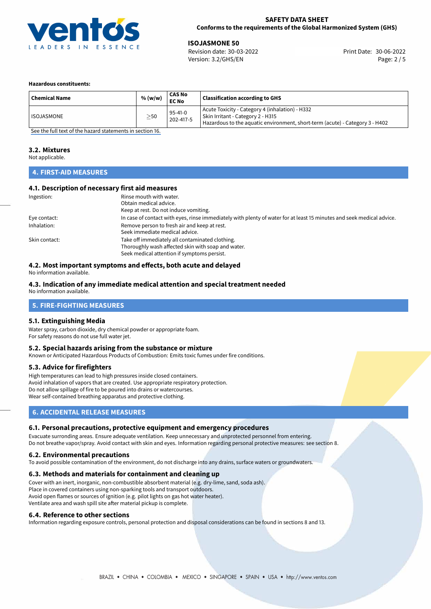

30-06-2022 **ISOJASMONE 50** Revision date: 30-03-2022 Version: 3.2/GHS/EN Page: 2 / 5

## **Hazardous constituents:**

| <b>Chemical Name</b> | % (w/w)   | <b>CAS No</b><br><b>EC No</b> | <b>Classification according to GHS</b>                                                                                                                               |
|----------------------|-----------|-------------------------------|----------------------------------------------------------------------------------------------------------------------------------------------------------------------|
| ' ISOJASMONE         | $\geq$ 50 | $95 - 41 - 0$<br>202-417-5    | Acute Toxicity - Category 4 (inhalation) - H332<br>Skin Irritant - Category 2 - H315<br>Hazardous to the aquatic environment, short-term (acute) - Category 3 - H402 |

[See the full text of the hazard statements in section 16.](#page-4-0)

## **3.2. Mixtures**

Not applicable.

# **4. FIRST-AID MEASURES**

## **4.1. Description of necessary first aid measures**

| Ingestion:    | Rinse mouth with water.                                                                                               |
|---------------|-----------------------------------------------------------------------------------------------------------------------|
|               | Obtain medical advice.                                                                                                |
|               | Keep at rest. Do not induce vomiting.                                                                                 |
| Eye contact:  | In case of contact with eyes, rinse immediately with plenty of water for at least 15 minutes and seek medical advice. |
| Inhalation:   | Remove person to fresh air and keep at rest.                                                                          |
|               | Seek immediate medical advice.                                                                                        |
| Skin contact: | Take off immediately all contaminated clothing.                                                                       |
|               | Thoroughly wash affected skin with soap and water.                                                                    |
|               | Seek medical attention if symptoms persist.                                                                           |

# **4.2. Most important symptoms and effects, both acute and delayed**

No information available.

## **4.3. Indication of any immediate medical attention and special treatment needed**

No information available.

# **5. FIRE-FIGHTING MEASURES**

## **5.1. Extinguishing Media**

Water spray, carbon dioxide, dry chemical powder or appropriate foam. For safety reasons do not use full water jet.

## **5.2. Special hazards arising from the substance or mixture**

Known or Anticipated Hazardous Products of Combustion: Emits toxic fumes under fire conditions.

## **5.3. Advice for firefighters**

High temperatures can lead to high pressures inside closed containers. Avoid inhalation of vapors that are created. Use appropriate respiratory protection. Do not allow spillage of fire to be poured into drains or watercourses. Wear self-contained breathing apparatus and protective clothing.

# **6. ACCIDENTAL RELEASE MEASURES**

## **6.1. Personal precautions, protective equipment and emergency procedures**

Evacuate surronding areas. Ensure adequate ventilation. Keep unnecessary and unprotected personnel from entering. Do not breathe vapor/spray. Avoid contact with skin and eyes. Information regarding personal protective measures: see section 8.

## **6.2. Environmental precautions**

To avoid possible contamination of the environment, do not discharge into any drains, surface waters or groundwaters.

## **6.3. Methods and materials for containment and cleaning up**

Cover with an inert, inorganic, non-combustible absorbent material (e.g. dry-lime, sand, soda ash). Place in covered containers using non-sparking tools and transport outdoors. Avoid open flames or sources of ignition (e.g. pilot lights on gas hot water heater). Ventilate area and wash spill site after material pickup is complete.

## **6.4. Reference to other sections**

Information regarding exposure controls, personal protection and disposal considerations can be found in sections 8 and 13.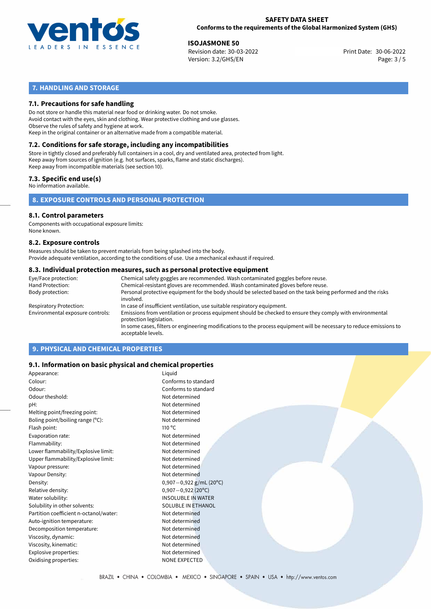

30-06-2022 **ISOJASMONE 50** Revision date: 30-03-2022 Print Date: Version: 3.2/GHS/EN Page: 3 / 5

# **7. HANDLING AND STORAGE**

# **7.1. Precautions for safe handling**

Do not store or handle this material near food or drinking water. Do not smoke. Avoid contact with the eyes, skin and clothing. Wear protective clothing and use glasses. Observe the rules of safety and hygiene at work. Keep in the original container or an alternative made from a compatible material.

# **7.2. Conditions for safe storage, including any incompatibilities**

Store in tightly closed and preferably full containers in a cool, dry and ventilated area, protected from light. Keep away from sources of ignition (e.g. hot surfaces, sparks, flame and static discharges). Keep away from incompatible materials (see section 10).

## **7.3. Specific end use(s)**

No information available.

**8. EXPOSURE CONTROLS AND PERSONAL PROTECTION**

# **8.1. Control parameters**

Components with occupational exposure limits: None known.

## **8.2. Exposure controls**

Measures should be taken to prevent materials from being splashed into the body. Provide adequate ventilation, according to the conditions of use. Use a mechanical exhaust if required.

## **8.3. Individual protection measures, such as personal protective equipment**

| Eye/Face protection:             | Chemical safety goggles are recommended. Wash contaminated goggles before reuse.                                                            |
|----------------------------------|---------------------------------------------------------------------------------------------------------------------------------------------|
| Hand Protection:                 | Chemical-resistant gloves are recommended. Wash contaminated gloves before reuse.                                                           |
| Body protection:                 | Personal protective equipment for the body should be selected based on the task being performed and the risks<br>involved.                  |
| Respiratory Protection:          | In case of insufficient ventilation, use suitable respiratory equipment.                                                                    |
| Environmental exposure controls: | Emissions from ventilation or process equipment should be checked to ensure they comply with environmental<br>protection legislation.       |
|                                  | In some cases, filters or engineering modifications to the process equipment will be necessary to reduce emissions to<br>acceptable levels. |
|                                  |                                                                                                                                             |

# **9. PHYSICAL AND CHEMICAL PROPERTIES**

## **9.1. Information on basic physical and chemical properties**

| Appearance:                            | Liquid                    |
|----------------------------------------|---------------------------|
| Colour:                                | Conforms to standard      |
| Odour:                                 | Conforms to standard      |
| Odour theshold:                        | Not determined            |
| pH:                                    | Not determined            |
| Melting point/freezing point:          | Not determined            |
| Boling point/boiling range (°C):       | Not determined            |
| Flash point:                           | $110^{\circ}$ C           |
| Evaporation rate:                      | Not determined            |
| Flammability:                          | Not determined            |
| Lower flammability/Explosive limit:    | Not determined            |
| Upper flammability/Explosive limit:    | Not determined            |
| Vapour pressure:                       | Not determined            |
| Vapour Density:                        | Not determined            |
| Density:                               | 0,907-0,922 g/mL (20°C)   |
| Relative density:                      | $0,907 - 0,922$ (20°C)    |
| Water solubility:                      | <b>INSOLUBLE IN WATER</b> |
| Solubility in other solvents:          | SOLUBLE IN ETHANOL        |
| Partition coefficient n-octanol/water: | Not determined            |
| Auto-ignition temperature:             | Not determined            |
| Decomposition temperature:             | Not determined            |
| Viscosity, dynamic:                    | Not determined            |
| Viscosity, kinematic:                  | Not determined            |
| Explosive properties:                  | Not determined            |
| Oxidising properties:                  | <b>NONE EXPECTED</b>      |
|                                        |                           |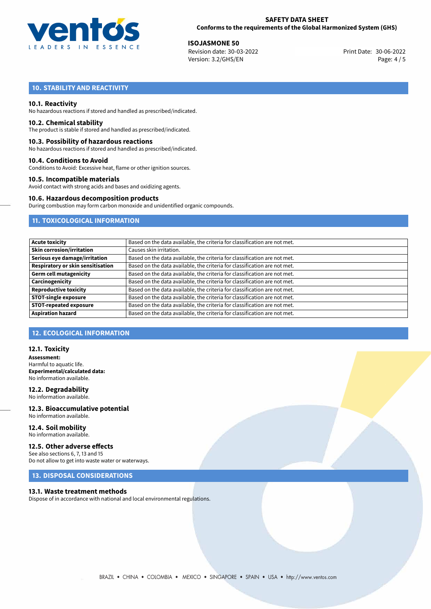

30-06-2022 **ISOJASMONE 50** Revision date: 30-03-2022 Print Date: Version: 3.2/GHS/EN Page: 4 / 5

# **10. STABILITY AND REACTIVITY**

## **10.1. Reactivity**

No hazardous reactions if stored and handled as prescribed/indicated.

## **10.2. Chemical stability**

The product is stable if stored and handled as prescribed/indicated.

## **10.3. Possibility of hazardous reactions**

No hazardous reactions if stored and handled as prescribed/indicated.

## **10.4. Conditions to Avoid**

Conditions to Avoid: Excessive heat, flame or other ignition sources.

## **10.5. Incompatible materials**

Avoid contact with strong acids and bases and oxidizing agents.

## **10.6. Hazardous decomposition products**

During combustion may form carbon monoxide and unidentified organic compounds.

# **11. TOXICOLOGICAL INFORMATION**

| <b>Acute toxicity</b>                    | Based on the data available, the criteria for classification are not met. |
|------------------------------------------|---------------------------------------------------------------------------|
| <b>Skin corrosion/irritation</b>         | Causes skin irritation.                                                   |
| Serious eye damage/irritation            | Based on the data available, the criteria for classification are not met. |
| <b>Respiratory or skin sensitisation</b> | Based on the data available, the criteria for classification are not met. |
| <b>Germ cell mutagenicity</b>            | Based on the data available, the criteria for classification are not met. |
| Carcinogenicity                          | Based on the data available, the criteria for classification are not met. |
| <b>Reproductive toxicity</b>             | Based on the data available, the criteria for classification are not met. |
| <b>STOT-single exposure</b>              | Based on the data available, the criteria for classification are not met. |
| <b>STOT-repeated exposure</b>            | Based on the data available, the criteria for classification are not met. |
| <b>Aspiration hazard</b>                 | Based on the data available, the criteria for classification are not met. |

# **12. ECOLOGICAL INFORMATION**

## **12.1. Toxicity**

**Assessment:** Harmful to aquatic life. **Experimental/calculated data:** No information available.

## **12.2. Degradability** No information available.

**12.3. Bioaccumulative potential** No information available.

### **12.4. Soil mobility** No information available.

**12.5. Other adverse effects**

See also sections 6, 7, 13 and 15 Do not allow to get into waste water or waterways.

# **13. DISPOSAL CONSIDERATIONS**

## **13.1. Waste treatment methods**

Dispose of in accordance with national and local environmental regulations.